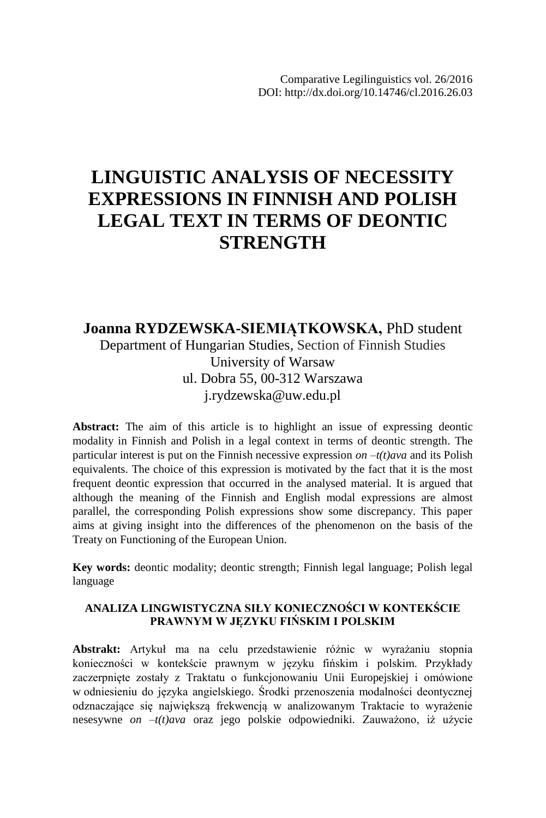# **LINGUISTIC ANALYSIS OF NECESSITY EXPRESSIONS IN FINNISH AND POLISH LEGAL TEXT IN TERMS OF DEONTIC STRENGTH**

### **Joanna RYDZEWSKA-SIEMIĄTKOWSKA,** PhD student Department of Hungarian Studies, Section of Finnish Studies University of Warsaw ul. Dobra 55, 00-312 Warszawa j.rydzewska@uw.edu.pl

**Abstract:** The aim of this article is to highlight an issue of expressing deontic modality in Finnish and Polish in a legal context in terms of deontic strength. The particular interest is put on the Finnish necessive expression *on –t(t)ava* and its Polish equivalents. The choice of this expression is motivated by the fact that it is the most frequent deontic expression that occurred in the analysed material. It is argued that although the meaning of the Finnish and English modal expressions are almost parallel, the corresponding Polish expressions show some discrepancy. This paper aims at giving insight into the differences of the phenomenon on the basis of the Treaty on Functioning of the European Union.

**Key words:** deontic modality; deontic strength; Finnish legal language; Polish legal language

#### **ANALIZA LINGWISTYCZNA SIŁY KONIECZNOŚCI W KONTEKŚCIE PRAWNYM W JĘZYKU FIŃSKIM I POLSKIM**

**Abstrakt:** Artykuł ma na celu przedstawienie różnic w wyrażaniu stopnia konieczności w kontekście prawnym w języku fińskim i polskim. Przykłady zaczerpnięte zostały z Traktatu o funkcjonowaniu Unii Europejskiej i omówione w odniesieniu do języka angielskiego. Środki przenoszenia modalności deontycznej odznaczające się największą frekwencją w analizowanym Traktacie to wyrażenie nesesywne *on –t(t)ava* oraz jego polskie odpowiedniki. Zauważono, iż użycie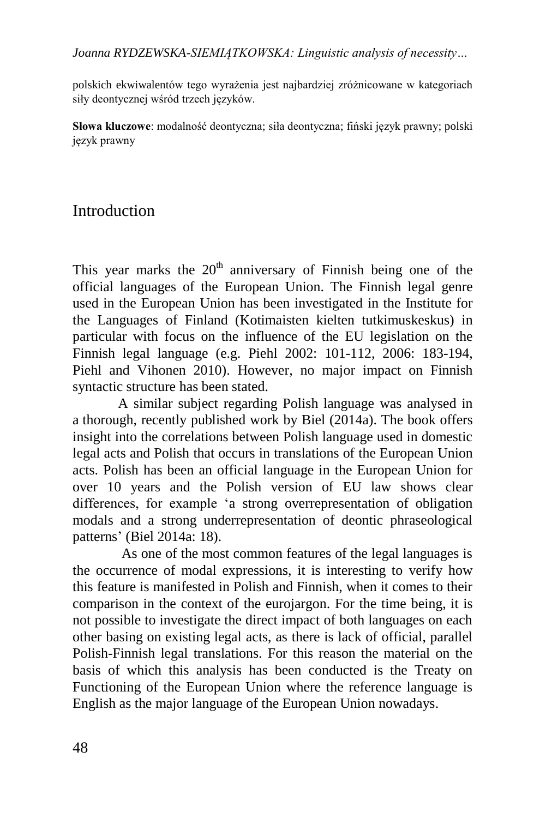polskich ekwiwalentów tego wyrażenia jest najbardziej zróżnicowane w kategoriach siły deontycznej wśród trzech języków.

**Słowa kluczowe**: modalność deontyczna; siła deontyczna; fiński język prawny; polski język prawny

## Introduction

This year marks the  $20<sup>th</sup>$  anniversary of Finnish being one of the official languages of the European Union. The Finnish legal genre used in the European Union has been investigated in the Institute for the Languages of Finland (Kotimaisten kielten tutkimuskeskus) in particular with focus on the influence of the EU legislation on the Finnish legal language (e.g. Piehl 2002: 101-112, 2006: 183-194, Piehl and Vihonen 2010). However, no major impact on Finnish syntactic structure has been stated.

A similar subject regarding Polish language was analysed in a thorough, recently published work by Biel (2014a). The book offers insight into the correlations between Polish language used in domestic legal acts and Polish that occurs in translations of the European Union acts. Polish has been an official language in the European Union for over 10 years and the Polish version of EU law shows clear differences, for example 'a strong overrepresentation of obligation modals and a strong underrepresentation of deontic phraseological patterns' (Biel 2014a: 18).

As one of the most common features of the legal languages is the occurrence of modal expressions, it is interesting to verify how this feature is manifested in Polish and Finnish, when it comes to their comparison in the context of the eurojargon. For the time being, it is not possible to investigate the direct impact of both languages on each other basing on existing legal acts, as there is lack of official, parallel Polish-Finnish legal translations. For this reason the material on the basis of which this analysis has been conducted is the Treaty on Functioning of the European Union where the reference language is English as the major language of the European Union nowadays.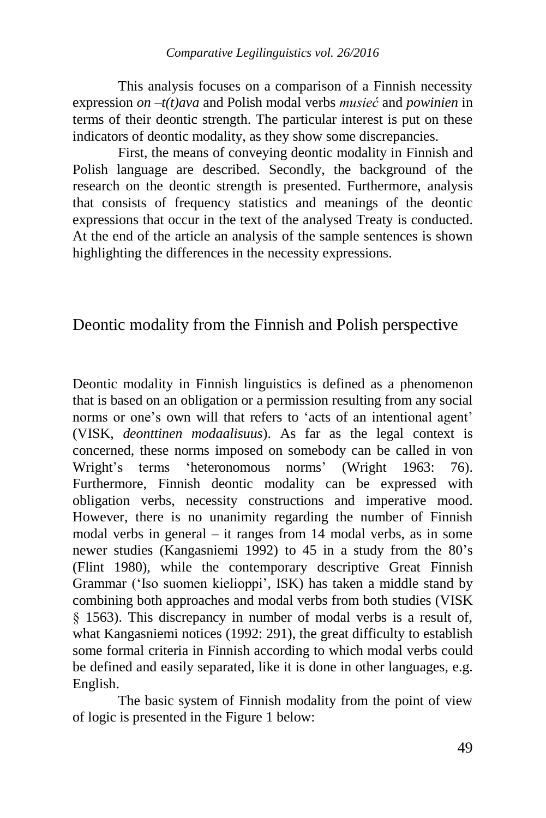This analysis focuses on a comparison of a Finnish necessity expression *on –t(t)ava* and Polish modal verbs *musieć* and *powinien* in terms of their deontic strength. The particular interest is put on these indicators of deontic modality, as they show some discrepancies.

First, the means of conveying deontic modality in Finnish and Polish language are described. Secondly, the background of the research on the deontic strength is presented. Furthermore, analysis that consists of frequency statistics and meanings of the deontic expressions that occur in the text of the analysed Treaty is conducted. At the end of the article an analysis of the sample sentences is shown highlighting the differences in the necessity expressions.

### Deontic modality from the Finnish and Polish perspective

Deontic modality in Finnish linguistics is defined as a phenomenon that is based on an obligation or a permission resulting from any social norms or one's own will that refers to 'acts of an intentional agent' (VISK, *deonttinen modaalisuus*). As far as the legal context is concerned, these norms imposed on somebody can be called in von Wright's terms 'heteronomous norms' (Wright 1963: 76). Furthermore, Finnish deontic modality can be expressed with obligation verbs, necessity constructions and imperative mood. However, there is no unanimity regarding the number of Finnish modal verbs in general – it ranges from 14 modal verbs, as in some newer studies (Kangasniemi 1992) to 45 in a study from the 80's (Flint 1980), while the contemporary descriptive Great Finnish Grammar ('Iso suomen kielioppi', ISK) has taken a middle stand by combining both approaches and modal verbs from both studies (VISK § 1563). This discrepancy in number of modal verbs is a result of, what Kangasniemi notices (1992: 291), the great difficulty to establish some formal criteria in Finnish according to which modal verbs could be defined and easily separated, like it is done in other languages, e.g. English.

The basic system of Finnish modality from the point of view of logic is presented in the Figure 1 below: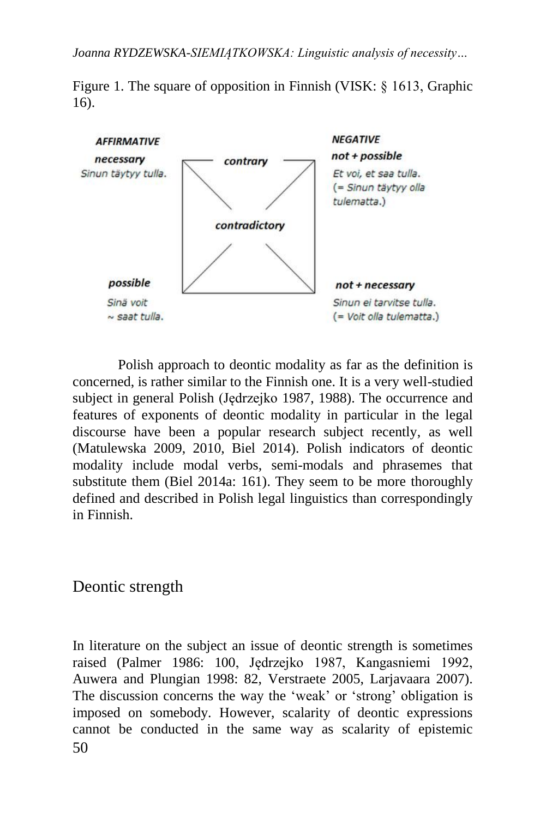Figure 1. The square of opposition in Finnish (VISK: § 1613, Graphic 16).



Polish approach to deontic modality as far as the definition is concerned, is rather similar to the Finnish one. It is a very well-studied subject in general Polish (Jędrzejko 1987, 1988). The occurrence and features of exponents of deontic modality in particular in the legal discourse have been a popular research subject recently, as well (Matulewska 2009, 2010, Biel 2014). Polish indicators of deontic modality include modal verbs, semi-modals and phrasemes that substitute them (Biel 2014a: 161). They seem to be more thoroughly defined and described in Polish legal linguistics than correspondingly in Finnish.

Deontic strength

50 In literature on the subject an issue of deontic strength is sometimes raised (Palmer 1986: 100, Jędrzejko 1987, Kangasniemi 1992, Auwera and Plungian 1998: 82, Verstraete 2005, Larjavaara 2007). The discussion concerns the way the 'weak' or 'strong' obligation is imposed on somebody. However, scalarity of deontic expressions cannot be conducted in the same way as scalarity of epistemic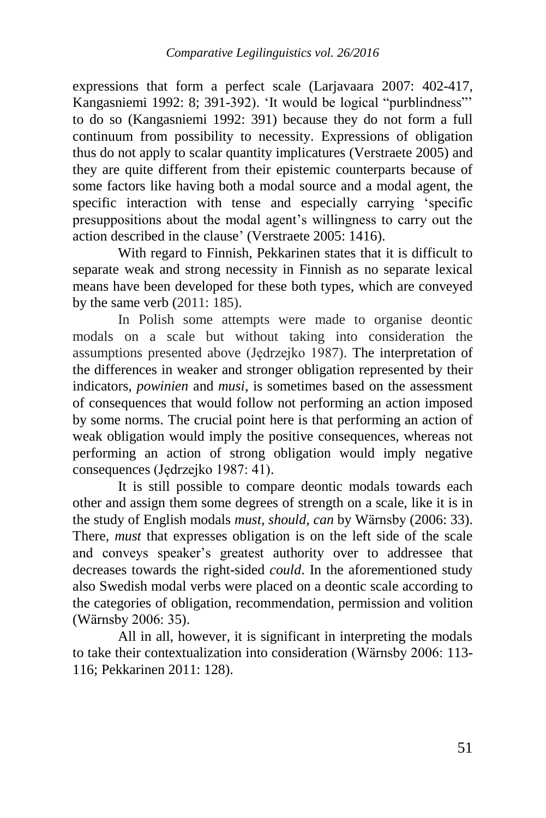expressions that form a perfect scale (Larjavaara 2007: 402-417, Kangasniemi 1992: 8; 391-392). 'It would be logical "purblindness"' to do so (Kangasniemi 1992: 391) because they do not form a full continuum from possibility to necessity. Expressions of obligation thus do not apply to scalar quantity implicatures (Verstraete 2005) and they are quite different from their epistemic counterparts because of some factors like having both a modal source and a modal agent, the specific interaction with tense and especially carrying 'specific presuppositions about the modal agent's willingness to carry out the action described in the clause' (Verstraete 2005: 1416).

With regard to Finnish, Pekkarinen states that it is difficult to separate weak and strong necessity in Finnish as no separate lexical means have been developed for these both types, which are conveyed by the same verb (2011: 185).

In Polish some attempts were made to organise deontic modals on a scale but without taking into consideration the assumptions presented above (Jędrzejko 1987). The interpretation of the differences in weaker and stronger obligation represented by their indicators, *powinien* and *musi*, is sometimes based on the assessment of consequences that would follow not performing an action imposed by some norms. The crucial point here is that performing an action of weak obligation would imply the positive consequences, whereas not performing an action of strong obligation would imply negative consequences (Jędrzejko 1987: 41).

It is still possible to compare deontic modals towards each other and assign them some degrees of strength on a scale, like it is in the study of English modals *must, should, can* by Wärnsby (2006: 33). There, *must* that expresses obligation is on the left side of the scale and conveys speaker's greatest authority over to addressee that decreases towards the right-sided *could*. In the aforementioned study also Swedish modal verbs were placed on a deontic scale according to the categories of obligation, recommendation, permission and volition (Wärnsby 2006: 35).

All in all, however, it is significant in interpreting the modals to take their contextualization into consideration (Wärnsby 2006: 113- 116; Pekkarinen 2011: 128).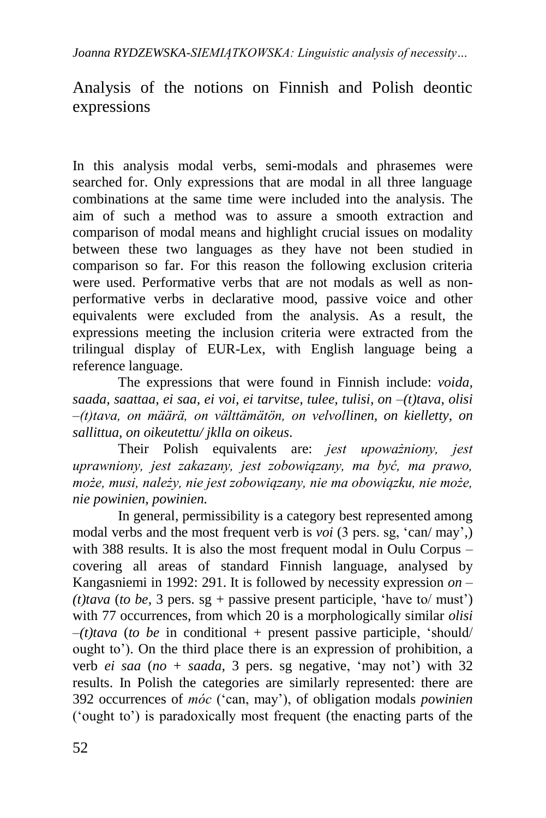## Analysis of the notions on Finnish and Polish deontic expressions

In this analysis modal verbs, semi-modals and phrasemes were searched for. Only expressions that are modal in all three language combinations at the same time were included into the analysis. The aim of such a method was to assure a smooth extraction and comparison of modal means and highlight crucial issues on modality between these two languages as they have not been studied in comparison so far. For this reason the following exclusion criteria were used. Performative verbs that are not modals as well as nonperformative verbs in declarative mood, passive voice and other equivalents were excluded from the analysis. As a result, the expressions meeting the inclusion criteria were extracted from the trilingual display of EUR-Lex, with English language being a reference language.

The expressions that were found in Finnish include: *voida, saada, saattaa, ei saa, ei voi, ei tarvitse, tulee, tulisi, on –(t)tava, olisi –(t)tava, on määrä, on välttämätön, on velvollinen, on kielletty, on sallittua, on oikeutettu/ jklla on oikeus*.

Their Polish equivalents are: *jest upoważniony, jest uprawniony, jest zakazany, jest zobowiązany, ma być, ma prawo, może, musi, należy, nie jest zobowiązany, nie ma obowiązku, nie może, nie powinien, powinien.*

In general, permissibility is a category best represented among modal verbs and the most frequent verb is *voi* (3 pers. sg, 'can/ may',) with 388 results. It is also the most frequent modal in Oulu Corpus – covering all areas of standard Finnish language, analysed by Kangasniemi in 1992: 291. It is followed by necessity expression *on – (t)tava* (*to be*, 3 pers. sg + passive present participle, 'have to/ must') with 77 occurrences, from which 20 is a morphologically similar *olisi*   $-(t)$ tava (to be in conditional + present passive participle, 'should' ought to'). On the third place there is an expression of prohibition, a verb *ei saa* (*no* + *saada*, 3 pers. sg negative, 'may not') with 32 results. In Polish the categories are similarly represented: there are 392 occurrences of *móc* ('can, may'), of obligation modals *powinien* ('ought to') is paradoxically most frequent (the enacting parts of the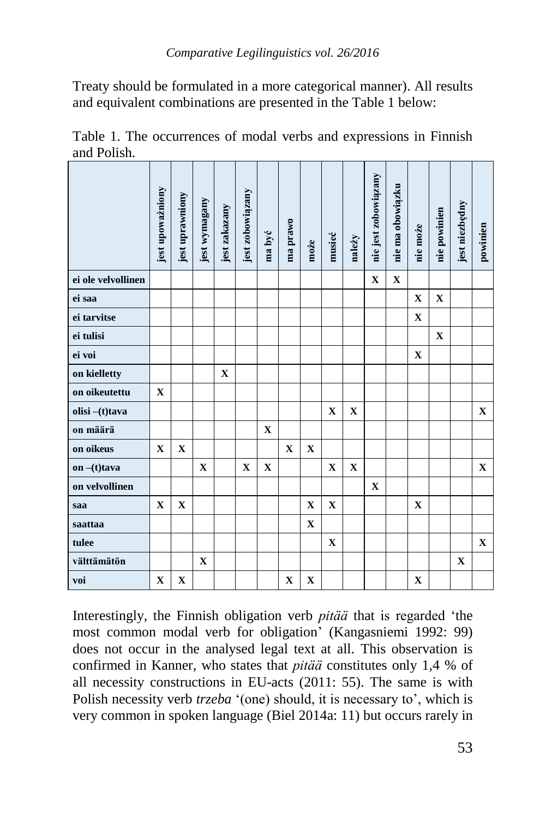Treaty should be formulated in a more categorical manner). All results and equivalent combinations are presented in the Table 1 below:

|                                                                                                                                                                                                                                                                                                                                                                                                                                                                                                                                    | jest upoważniony | jest uprawniony | jest wymagany | jest zakazany | jest zobowiązany | ma być      | ma prawo    | może        | musieć      | należy      | nie jest zobowiązany | nie ma obowiązku | nie może    | nie powinien | jest niezbędny | powinien    |
|------------------------------------------------------------------------------------------------------------------------------------------------------------------------------------------------------------------------------------------------------------------------------------------------------------------------------------------------------------------------------------------------------------------------------------------------------------------------------------------------------------------------------------|------------------|-----------------|---------------|---------------|------------------|-------------|-------------|-------------|-------------|-------------|----------------------|------------------|-------------|--------------|----------------|-------------|
| ei ole velvollinen                                                                                                                                                                                                                                                                                                                                                                                                                                                                                                                 |                  |                 |               |               |                  |             |             |             |             |             | $\mathbf X$          | $\mathbf X$      |             |              |                |             |
| ei saa                                                                                                                                                                                                                                                                                                                                                                                                                                                                                                                             |                  |                 |               |               |                  |             |             |             |             |             |                      |                  | $\mathbf X$ | $\mathbf X$  |                |             |
| ei tarvitse                                                                                                                                                                                                                                                                                                                                                                                                                                                                                                                        |                  |                 |               |               |                  |             |             |             |             |             |                      |                  | $\mathbf X$ |              |                |             |
| ei tulisi                                                                                                                                                                                                                                                                                                                                                                                                                                                                                                                          |                  |                 |               |               |                  |             |             |             |             |             |                      |                  |             | X            |                |             |
| ei voi                                                                                                                                                                                                                                                                                                                                                                                                                                                                                                                             |                  |                 |               |               |                  |             |             |             |             |             |                      |                  | X           |              |                |             |
| on kielletty                                                                                                                                                                                                                                                                                                                                                                                                                                                                                                                       |                  |                 |               | $\mathbf X$   |                  |             |             |             |             |             |                      |                  |             |              |                |             |
| on oikeutettu                                                                                                                                                                                                                                                                                                                                                                                                                                                                                                                      | $\mathbf X$      |                 |               |               |                  |             |             |             |             |             |                      |                  |             |              |                |             |
| olisi -(t)tava                                                                                                                                                                                                                                                                                                                                                                                                                                                                                                                     |                  |                 |               |               |                  |             |             |             | $\mathbf X$ | X           |                      |                  |             |              |                | X           |
| on määrä                                                                                                                                                                                                                                                                                                                                                                                                                                                                                                                           |                  |                 |               |               |                  | X           |             |             |             |             |                      |                  |             |              |                |             |
| on oikeus                                                                                                                                                                                                                                                                                                                                                                                                                                                                                                                          | $\mathbf X$      | $\mathbf X$     |               |               |                  |             | X           | $\mathbf X$ |             |             |                      |                  |             |              |                |             |
| on $-(t)$ tava                                                                                                                                                                                                                                                                                                                                                                                                                                                                                                                     |                  |                 | $\mathbf X$   |               | $\mathbf X$      | $\mathbf X$ |             |             | $\mathbf X$ | $\mathbf X$ |                      |                  |             |              |                | $\mathbf X$ |
| on velvollinen                                                                                                                                                                                                                                                                                                                                                                                                                                                                                                                     |                  |                 |               |               |                  |             |             |             |             |             | X                    |                  |             |              |                |             |
| saa                                                                                                                                                                                                                                                                                                                                                                                                                                                                                                                                | $\mathbf X$      | $\mathbf X$     |               |               |                  |             |             | $\mathbf X$ | $\mathbf X$ |             |                      |                  | X           |              |                |             |
| saattaa                                                                                                                                                                                                                                                                                                                                                                                                                                                                                                                            |                  |                 |               |               |                  |             |             | $\mathbf X$ |             |             |                      |                  |             |              |                |             |
| tulee                                                                                                                                                                                                                                                                                                                                                                                                                                                                                                                              |                  |                 |               |               |                  |             |             |             | $\mathbf X$ |             |                      |                  |             |              |                | $\mathbf X$ |
| välttämätön                                                                                                                                                                                                                                                                                                                                                                                                                                                                                                                        |                  |                 | $\mathbf X$   |               |                  |             |             |             |             |             |                      |                  |             |              | $\mathbf X$    |             |
| voi                                                                                                                                                                                                                                                                                                                                                                                                                                                                                                                                | $\mathbf X$      | $\mathbf X$     |               |               |                  |             | $\mathbf X$ | $\mathbf X$ |             |             |                      |                  | X           |              |                |             |
| Interestingly, the Finnish obligation verb <i>pitää</i> that is regarded 'the<br>most common modal verb for obligation' (Kangasniemi 1992: 99)<br>does not occur in the analysed legal text at all. This observation is<br>confirmed in Kanner, who states that <i>pitää</i> constitutes only 1,4 % of<br>all necessity constructions in EU-acts (2011: 55). The same is with<br>Polish necessity verb trzeba '(one) should, it is necessary to', which is<br>very common in spoken language (Biel 2014a: 11) but occurs rarely in |                  |                 |               |               |                  |             |             |             |             |             |                      |                  |             |              |                |             |

Table 1. The occurrences of modal verbs and expressions in Finnish and Polish.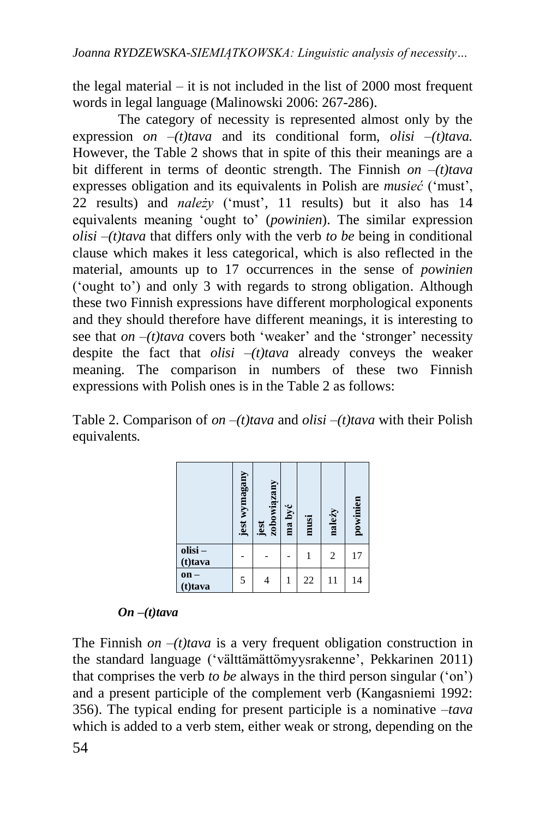the legal material – it is not included in the list of 2000 most frequent words in legal language (Malinowski 2006: 267-286).

The category of necessity is represented almost only by the expression *on –(t)tava* and its conditional form, *olisi –(t)tava.* However, the Table 2 shows that in spite of this their meanings are a bit different in terms of deontic strength. The Finnish *on –(t)tava*  expresses obligation and its equivalents in Polish are *musieć* ('must', 22 results) and *należy* ('must', 11 results) but it also has 14 equivalents meaning 'ought to' (*powinien*). The similar expression *olisi –(t)tava* that differs only with the verb *to be* being in conditional clause which makes it less categorical, which is also reflected in the material, amounts up to 17 occurrences in the sense of *powinien*  ('ought to') and only 3 with regards to strong obligation. Although these two Finnish expressions have different morphological exponents and they should therefore have different meanings, it is interesting to see that *on*  $-(t)$  *tava* covers both 'weaker' and the 'stronger' necessity despite the fact that *olisi –(t)tava* already conveys the weaker meaning. The comparison in numbers of these two Finnish expressions with Polish ones is in the Table 2 as follows:

Table 2. Comparison of *on –(t)tava* and *olisi –(t)tava* with their Polish equivalents*.*

|                   | jest wymagany | zobowiązany<br>Jest | ma być | musi | należy         | powinien |
|-------------------|---------------|---------------------|--------|------|----------------|----------|
| olisi-<br>(t)tava |               |                     |        |      | $\overline{2}$ | 17       |
| $on -$<br>(t)tava | 5             |                     |        | 22   | 11             | 14       |

#### *On –(t)tava*

The Finnish *on*  $-(t)$  *tava* is a very frequent obligation construction in the standard language ('välttämättömyysrakenne', Pekkarinen 2011) that comprises the verb *to be* always in the third person singular ('on') and a present participle of the complement verb (Kangasniemi 1992: 356). The typical ending for present participle is a nominative *–tava* Which is a verb stem, either weak or strong, depending on the standard language (valitamationyysrakenne', Pekkarinen 2011)<br>
and a present participle of the complement verb (Kangasniemi 1992:<br>
356). The typical ending for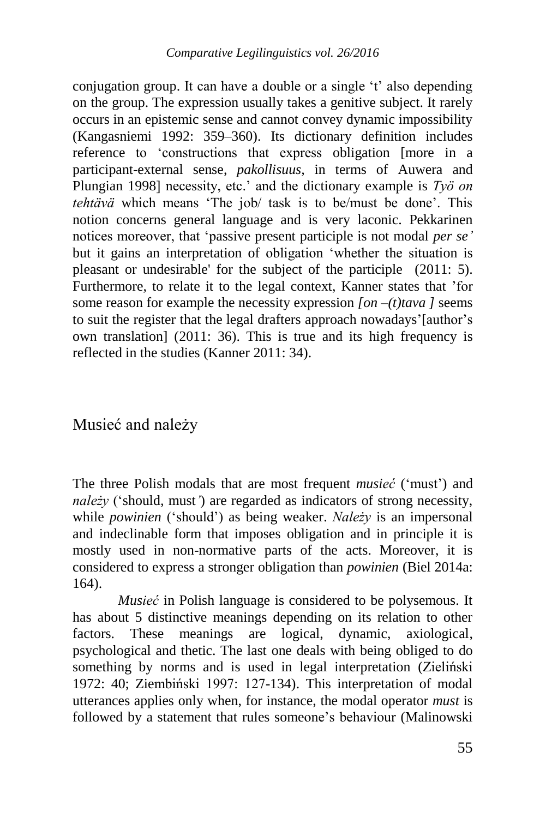conjugation group. It can have a double or a single 't' also depending on the group. The expression usually takes a genitive subject. It rarely occurs in an epistemic sense and cannot convey dynamic impossibility (Kangasniemi 1992: 359*–*360). Its dictionary definition includes reference to 'constructions that express obligation [more in a participant-external sense, *pakollisuus,* in terms of Auwera and Plungian 1998] necessity, etc.' and the dictionary example is *Työ on tehtävä* which means 'The job/ task is to be/must be done'. This notion concerns general language and is very laconic. Pekkarinen notices moreover, that 'passive present participle is not modal *per se'* but it gains an interpretation of obligation 'whether the situation is pleasant or undesirable' for the subject of the participle (2011: 5). Furthermore, to relate it to the legal context, Kanner states that 'for some reason for example the necessity expression *[on –(t)tava ]* seems to suit the register that the legal drafters approach nowadays' [author's own translation] (2011: 36). This is true and its high frequency is reflected in the studies (Kanner 2011: 34).

### Musieć and należy

The three Polish modals that are most frequent *musieć* ('must') and *należy* ('should*,* must*'*) are regarded as indicators of strong necessity, while *powinien* ('should') as being weaker. *Należy* is an impersonal and indeclinable form that imposes obligation and in principle it is mostly used in non-normative parts of the acts. Moreover, it is considered to express a stronger obligation than *powinien* (Biel 2014a: 164).

*Musieć* in Polish language is considered to be polysemous. It has about 5 distinctive meanings depending on its relation to other factors. These meanings are logical, dynamic, axiological, psychological and thetic. The last one deals with being obliged to do something by norms and is used in legal interpretation (Zieliński 1972: 40; Ziembiński 1997: 127-134). This interpretation of modal utterances applies only when, for instance, the modal operator *must* is followed by a statement that rules someone's behaviour (Malinowski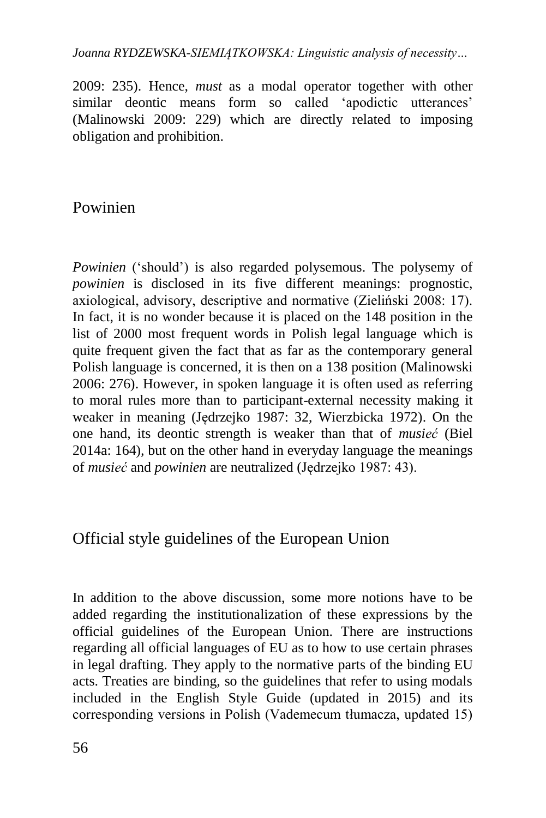2009: 235). Hence, *must* as a modal operator together with other similar deontic means form so called 'apodictic utterances' (Malinowski 2009: 229) which are directly related to imposing obligation and prohibition.

### Powinien

*Powinien* ('should') is also regarded polysemous. The polysemy of *powinien* is disclosed in its five different meanings: prognostic, axiological, advisory, descriptive and normative (Zieliński 2008: 17). In fact, it is no wonder because it is placed on the 148 position in the list of 2000 most frequent words in Polish legal language which is quite frequent given the fact that as far as the contemporary general Polish language is concerned, it is then on a 138 position (Malinowski 2006: 276). However, in spoken language it is often used as referring to moral rules more than to participant-external necessity making it weaker in meaning (Jędrzejko 1987: 32, Wierzbicka 1972). On the one hand, its deontic strength is weaker than that of *musieć* (Biel 2014a: 164)*,* but on the other hand in everyday language the meanings of *musieć* and *powinien* are neutralized (Jędrzejko 1987: 43).

## Official style guidelines of the European Union

In addition to the above discussion, some more notions have to be added regarding the institutionalization of these expressions by the official guidelines of the European Union. There are instructions regarding all official languages of EU as to how to use certain phrases in legal drafting. They apply to the normative parts of the binding EU acts. Treaties are binding, so the guidelines that refer to using modals included in the English Style Guide (updated in 2015) and its corresponding versions in Polish (Vademecum tłumacza, updated 15)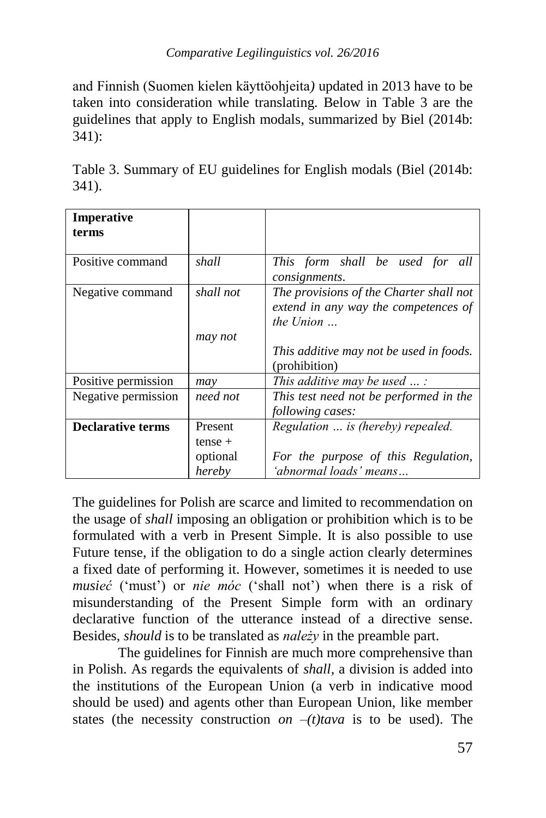and Finnish (Suomen kielen käyttöohjeita*)* updated in 2013 have to be taken into consideration while translating. Below in Table 3 are the guidelines that apply to English modals, summarized by Biel (2014b: 341):

Table 3. Summary of EU guidelines for English modals (Biel (2014b: 341).

| Imperative<br>terms      |           |                                         |
|--------------------------|-----------|-----------------------------------------|
|                          |           |                                         |
| Positive command         | shall     | This form shall be used for all         |
|                          |           | consignments.                           |
| Negative command         | shall not | The provisions of the Charter shall not |
|                          |           | extend in any way the competences of    |
|                          |           | the Union $\ldots$                      |
|                          | may not   |                                         |
|                          |           | This additive may not be used in foods. |
|                          |           | (prohibition)                           |
| Positive permission      | may       | This additive may be used $\ldots$ :    |
| Negative permission      | need not  | This test need not be performed in the  |
|                          |           | <i>following cases:</i>                 |
| <b>Declarative terms</b> | Present   | Regulation  is (hereby) repealed.       |
|                          | $tense +$ |                                         |
|                          | optional  | For the purpose of this Regulation,     |
|                          | hereby    | 'abnormal loads' means                  |

The guidelines for Polish are scarce and limited to recommendation on the usage of *shall* imposing an obligation or prohibition which is to be formulated with a verb in Present Simple. It is also possible to use Future tense, if the obligation to do a single action clearly determines a fixed date of performing it. However, sometimes it is needed to use *musieć* ('must') or *nie móc* ('shall not') when there is a risk of misunderstanding of the Present Simple form with an ordinary declarative function of the utterance instead of a directive sense. Besides, *should* is to be translated as *należy* in the preamble part.

The guidelines for Finnish are much more comprehensive than in Polish. As regards the equivalents of *shall,* a division is added into the institutions of the European Union (a verb in indicative mood should be used) and agents other than European Union, like member states (the necessity construction *on*  $-(t)$ *tava* is to be used). The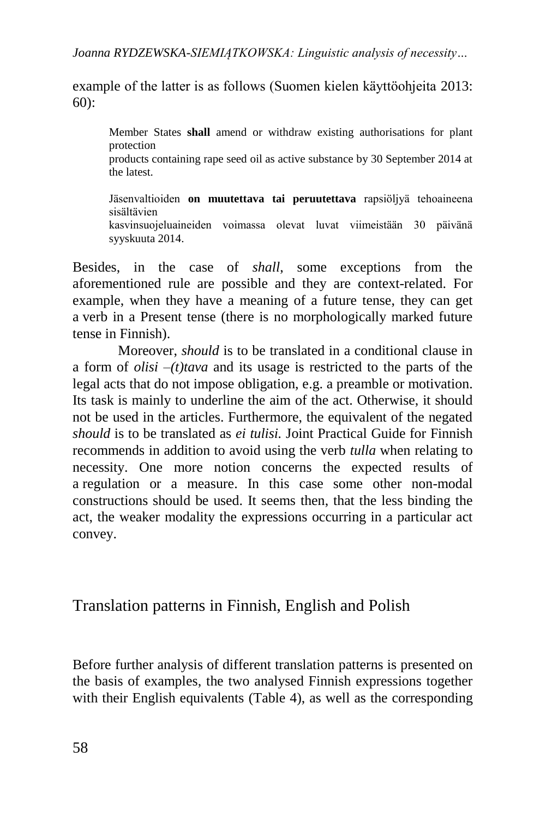example of the latter is as follows (Suomen kielen käyttöohjeita 2013: 60):

Member States **shall** amend or withdraw existing authorisations for plant protection products containing rape seed oil as active substance by 30 September 2014 at the latest.

Jäsenvaltioiden **on muutettava tai peruutettava** rapsiöljyä tehoaineena sisältävien kasvinsuojeluaineiden voimassa olevat luvat viimeistään 30 päivänä syyskuuta 2014.

Besides, in the case of *shall*, some exceptions from the aforementioned rule are possible and they are context-related. For example, when they have a meaning of a future tense, they can get a verb in a Present tense (there is no morphologically marked future tense in Finnish).

Moreover, *should* is to be translated in a conditional clause in a form of *olisi –(t)tava* and its usage is restricted to the parts of the legal acts that do not impose obligation, e.g. a preamble or motivation. Its task is mainly to underline the aim of the act. Otherwise, it should not be used in the articles. Furthermore, the equivalent of the negated *should* is to be translated as *ei tulisi.* Joint Practical Guide for Finnish recommends in addition to avoid using the verb *tulla* when relating to necessity. One more notion concerns the expected results of a regulation or a measure. In this case some other non-modal constructions should be used. It seems then, that the less binding the act, the weaker modality the expressions occurring in a particular act convey.

Translation patterns in Finnish, English and Polish

Before further analysis of different translation patterns is presented on the basis of examples, the two analysed Finnish expressions together with their English equivalents (Table 4), as well as the corresponding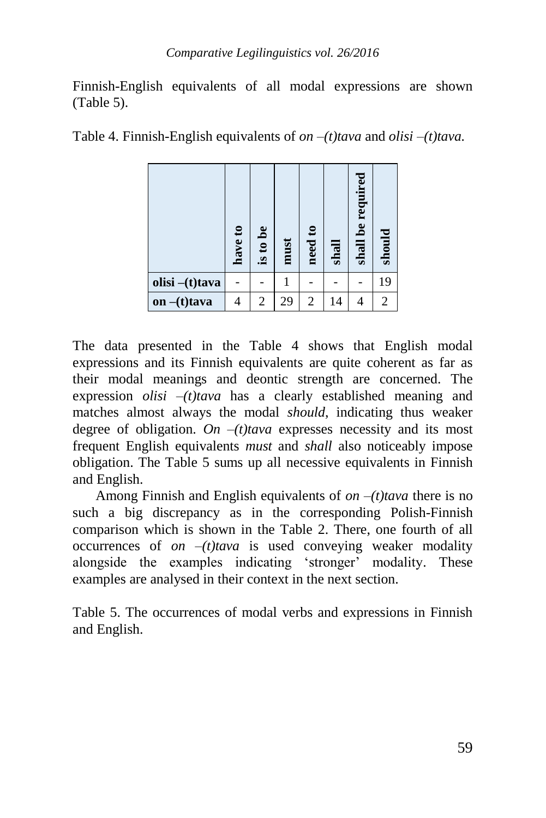Finnish-English equivalents of all modal expressions are shown (Table 5).

Table 4. Finnish-English equivalents of *on –(t)tava* and *olisi –(t)tava.*

|                | have to | is to be       | must | need to        | shall | shall be required | should         |
|----------------|---------|----------------|------|----------------|-------|-------------------|----------------|
| olisi -(t)tava |         |                |      |                |       |                   | 19             |
| on $-(t)$ tava |         | $\overline{2}$ | 29   | $\overline{2}$ | 14    |                   | $\overline{2}$ |

The data presented in the Table 4 shows that English modal expressions and its Finnish equivalents are quite coherent as far as their modal meanings and deontic strength are concerned. The expression *olisi –(t)tava* has a clearly established meaning and matches almost always the modal *should*, indicating thus weaker degree of obligation. *On*  $-(t)$  *tava* expresses necessity and its most frequent English equivalents *must* and *shall* also noticeably impose obligation. The Table 5 sums up all necessive equivalents in Finnish and English.

Among Finnish and English equivalents of *on –(t)tava* there is no such a big discrepancy as in the corresponding Polish-Finnish comparison which is shown in the Table 2. There, one fourth of all occurrences of *on –(t)tava* is used conveying weaker modality alongside the examples indicating 'stronger' modality. These examples are analysed in their context in the next section.

Table 5. The occurrences of modal verbs and expressions in Finnish and English.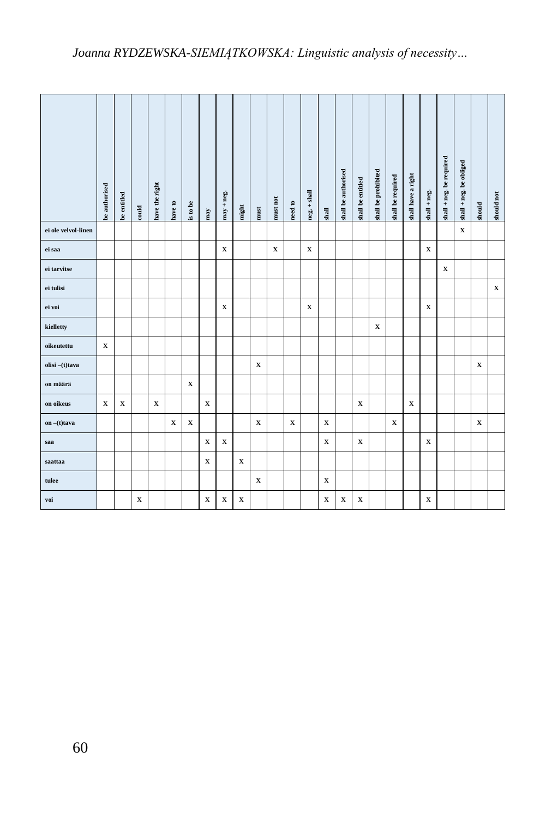|                     | be authorised | <b>xe</b> entitled | $_{\rm could}$ | have the right | have to     | is to be    | $_{\rm{may}}$ | $may + neg.$ | $_{\rm might}$ | $\mathop{\text{must}}$ | must not    | $\mathop{\rm need}\nolimits$ to | $neg. + shall$ | $_{\rm shall}$ | shall be authorised | shall be entitled | shall be prohibited | shall be required | shall have a right | $shall + neg.$ | $\mathbf{shall} + \mathbf{neg}$ , be required | $\ensuremath{\text{shall}} + \ensuremath{\text{neg}}$ , be obliged | should      | should not  |
|---------------------|---------------|--------------------|----------------|----------------|-------------|-------------|---------------|--------------|----------------|------------------------|-------------|---------------------------------|----------------|----------------|---------------------|-------------------|---------------------|-------------------|--------------------|----------------|-----------------------------------------------|--------------------------------------------------------------------|-------------|-------------|
| ei ole velvol-linen |               |                    |                |                |             |             |               |              |                |                        |             |                                 |                |                |                     |                   |                     |                   |                    |                |                                               | $\mathbf X$                                                        |             |             |
| ei saa              |               |                    |                |                |             |             |               | $\mathbf X$  |                |                        | $\mathbf X$ |                                 | $\mathbf x$    |                |                     |                   |                     |                   |                    | $\mathbf x$    |                                               |                                                                    |             |             |
| ei tarvitse         |               |                    |                |                |             |             |               |              |                |                        |             |                                 |                |                |                     |                   |                     |                   |                    |                | $\mathbf X$                                   |                                                                    |             |             |
| ei tulisi           |               |                    |                |                |             |             |               |              |                |                        |             |                                 |                |                |                     |                   |                     |                   |                    |                |                                               |                                                                    |             | $\mathbf x$ |
| ei voi              |               |                    |                |                |             |             |               | x            |                |                        |             |                                 | x              |                |                     |                   |                     |                   |                    | x              |                                               |                                                                    |             |             |
| kielletty           |               |                    |                |                |             |             |               |              |                |                        |             |                                 |                |                |                     |                   | X                   |                   |                    |                |                                               |                                                                    |             |             |
| oikeutettu          | x             |                    |                |                |             |             |               |              |                |                        |             |                                 |                |                |                     |                   |                     |                   |                    |                |                                               |                                                                    |             |             |
| olisi-(t)tava       |               |                    |                |                |             |             |               |              |                | x                      |             |                                 |                |                |                     |                   |                     |                   |                    |                |                                               |                                                                    | $\mathbf x$ |             |
| on määrä            |               |                    |                |                |             | $\mathbf X$ |               |              |                |                        |             |                                 |                |                |                     |                   |                     |                   |                    |                |                                               |                                                                    |             |             |
| on oikeus           | $\mathbf x$   | $\mathbf x$        |                | $\mathbf x$    |             |             | $\mathbf x$   |              |                |                        |             |                                 |                |                |                     | $\mathbf x$       |                     |                   | x                  |                |                                               |                                                                    |             |             |
| on $-(t)$ tava      |               |                    |                |                | $\mathbf X$ | $\mathbf X$ |               |              |                | $\mathbf X$            |             | $\mathbf X$                     |                | $\mathbf X$    |                     |                   |                     | $\mathbf x$       |                    |                |                                               |                                                                    | $\mathbf X$ |             |
| saa                 |               |                    |                |                |             |             | $\mathbf x$   | $\mathbf x$  |                |                        |             |                                 |                | $\mathbf x$    |                     | $\mathbf x$       |                     |                   |                    | $\mathbf x$    |                                               |                                                                    |             |             |
| saattaa             |               |                    |                |                |             |             | $\mathbf x$   |              | $\mathbf x$    |                        |             |                                 |                |                |                     |                   |                     |                   |                    |                |                                               |                                                                    |             |             |
| tulee               |               |                    |                |                |             |             |               |              |                | x                      |             |                                 |                | $\mathbf x$    |                     |                   |                     |                   |                    |                |                                               |                                                                    |             |             |
| voi                 |               |                    | $\mathbf X$    |                |             |             | $\mathbf x$   | $\mathbf x$  | X              |                        |             |                                 |                | $\mathbf X$    | $\mathbf X$         | $\mathbf x$       |                     |                   |                    | x              |                                               |                                                                    |             |             |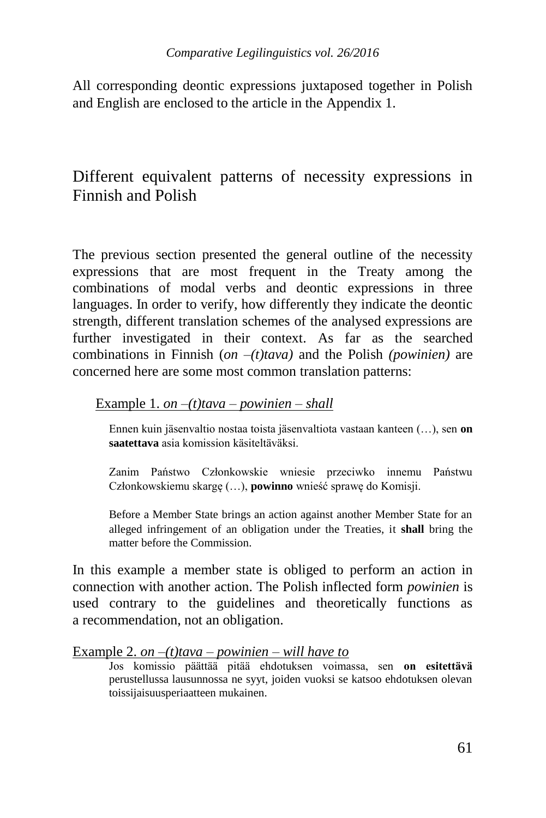All corresponding deontic expressions juxtaposed together in Polish and English are enclosed to the article in the Appendix 1.

## Different equivalent patterns of necessity expressions in Finnish and Polish

The previous section presented the general outline of the necessity expressions that are most frequent in the Treaty among the combinations of modal verbs and deontic expressions in three languages. In order to verify, how differently they indicate the deontic strength, different translation schemes of the analysed expressions are further investigated in their context. As far as the searched combinations in Finnish (*on –(t)tava)* and the Polish *(powinien)* are concerned here are some most common translation patterns:

#### Example 1. *on –(t)tava – powinien – shall*

Ennen kuin jäsenvaltio nostaa toista jäsenvaltiota vastaan kanteen (…), sen **on saatettava** asia komission käsiteltäväksi.

Zanim Państwo Członkowskie wniesie przeciwko innemu Państwu Członkowskiemu skargę (…), **powinno** wnieść sprawę do Komisji.

Before a Member State brings an action against another Member State for an alleged infringement of an obligation under the Treaties, it **shall** bring the matter before the Commission.

In this example a member state is obliged to perform an action in connection with another action. The Polish inflected form *powinien* is used contrary to the guidelines and theoretically functions as a recommendation, not an obligation.

#### Example 2. *on –(t)tava – powinien – will have to*

Jos komissio päättää pitää ehdotuksen voimassa, sen **on esitettävä** perustellussa lausunnossa ne syyt, joiden vuoksi se katsoo ehdotuksen olevan toissijaisuusperiaatteen mukainen.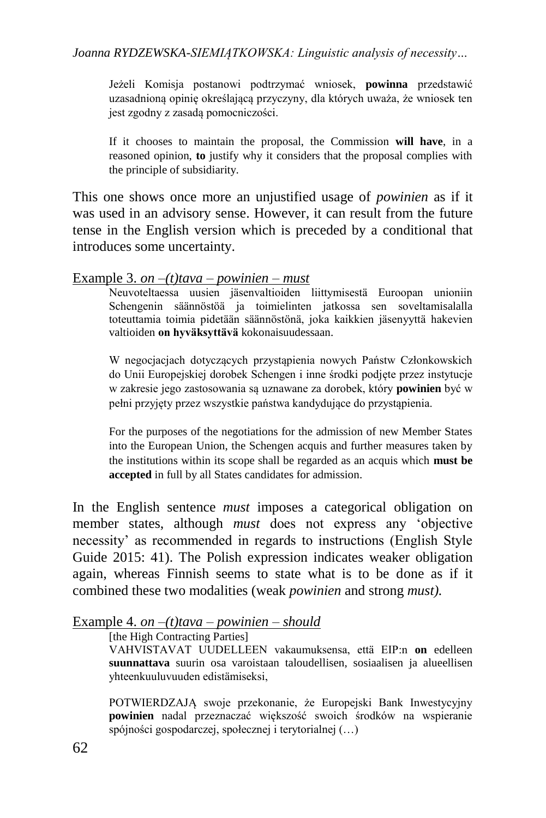Jeżeli Komisja postanowi podtrzymać wniosek, **powinna** przedstawić uzasadnioną opinię określającą przyczyny, dla których uważa, że wniosek ten jest zgodny z zasadą pomocniczości.

If it chooses to maintain the proposal, the Commission **will have**, in a reasoned opinion, **to** justify why it considers that the proposal complies with the principle of subsidiarity.

This one shows once more an unjustified usage of *powinien* as if it was used in an advisory sense. However, it can result from the future tense in the English version which is preceded by a conditional that introduces some uncertainty.

#### Example 3. *on –(t)tava – powinien – must*

Neuvoteltaessa uusien jäsenvaltioiden liittymisestä Euroopan unioniin Schengenin säännöstöä ja toimielinten jatkossa sen soveltamisalalla toteuttamia toimia pidetään säännöstönä, joka kaikkien jäsenyyttä hakevien valtioiden **on hyväksyttävä** kokonaisuudessaan.

W negocjacjach dotyczących przystąpienia nowych Państw Członkowskich do Unii Europejskiej dorobek Schengen i inne środki podjęte przez instytucje w zakresie jego zastosowania są uznawane za dorobek, który **powinien** być w pełni przyjęty przez wszystkie państwa kandydujące do przystąpienia.

For the purposes of the negotiations for the admission of new Member States into the European Union, the Schengen acquis and further measures taken by the institutions within its scope shall be regarded as an acquis which **must be accepted** in full by all States candidates for admission.

In the English sentence *must* imposes a categorical obligation on member states, although *must* does not express any 'objective necessity' as recommended in regards to instructions (English Style Guide 2015: 41). The Polish expression indicates weaker obligation again, whereas Finnish seems to state what is to be done as if it combined these two modalities (weak *powinien* and strong *must).* 

#### Example 4. *on –(t)tava – powinien – should*

[the High Contracting Parties]

VAHVISTAVAT UUDELLEEN vakaumuksensa, että EIP:n **on** edelleen **suunnattava** suurin osa varoistaan taloudellisen, sosiaalisen ja alueellisen yhteenkuuluvuuden edistämiseksi,

POTWIERDZAJĄ swoje przekonanie, że Europejski Bank Inwestycyjny **powinien** nadal przeznaczać większość swoich środków na wspieranie spójności gospodarczej, społecznej i terytorialnej (…)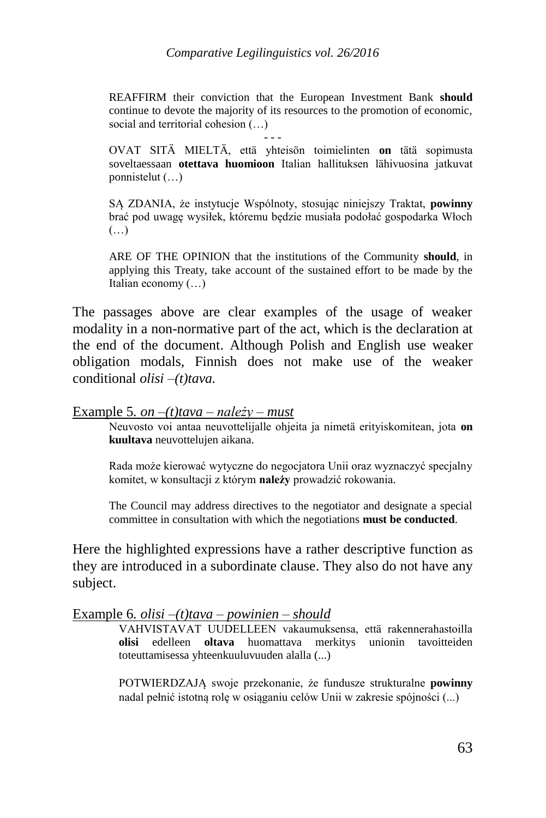REAFFIRM their conviction that the European Investment Bank **should** continue to devote the majority of its resources to the promotion of economic, social and territorial cohesion (…)

- - -

OVAT SITÄ MIELTÄ, että yhteisön toimielinten **on** tätä sopimusta soveltaessaan **otettava huomioon** Italian hallituksen lähivuosina jatkuvat ponnistelut (…)

SĄ ZDANIA, że instytucje Wspólnoty, stosując niniejszy Traktat, **powinny** brać pod uwagę wysiłek, któremu będzie musiała podołać gospodarka Włoch (…)

ARE OF THE OPINION that the institutions of the Community **should**, in applying this Treaty, take account of the sustained effort to be made by the Italian economy (…)

The passages above are clear examples of the usage of weaker modality in a non-normative part of the act, which is the declaration at the end of the document. Although Polish and English use weaker obligation modals, Finnish does not make use of the weaker conditional *olisi –(t)tava.*

#### Example 5*. on –(t)tava – należy – must*

Neuvosto voi antaa neuvottelijalle ohjeita ja nimetä erityiskomitean, jota **on kuultava** neuvottelujen aikana.

Rada może kierować wytyczne do negocjatora Unii oraz wyznaczyć specjalny komitet, w konsultacji z którym **należy** prowadzić rokowania.

The Council may address directives to the negotiator and designate a special committee in consultation with which the negotiations **must be conducted**.

Here the highlighted expressions have a rather descriptive function as they are introduced in a subordinate clause. They also do not have any subject.

#### Example 6*. olisi –(t)tava – powinien – should*

VAHVISTAVAT UUDELLEEN vakaumuksensa, että rakennerahastoilla **olisi** edelleen **oltava** huomattava merkitys unionin tavoitteiden toteuttamisessa yhteenkuuluvuuden alalla (...)

POTWIERDZAJĄ swoje przekonanie, że fundusze strukturalne **powinny** nadal pełnić istotną rolę w osiąganiu celów Unii w zakresie spójności (...)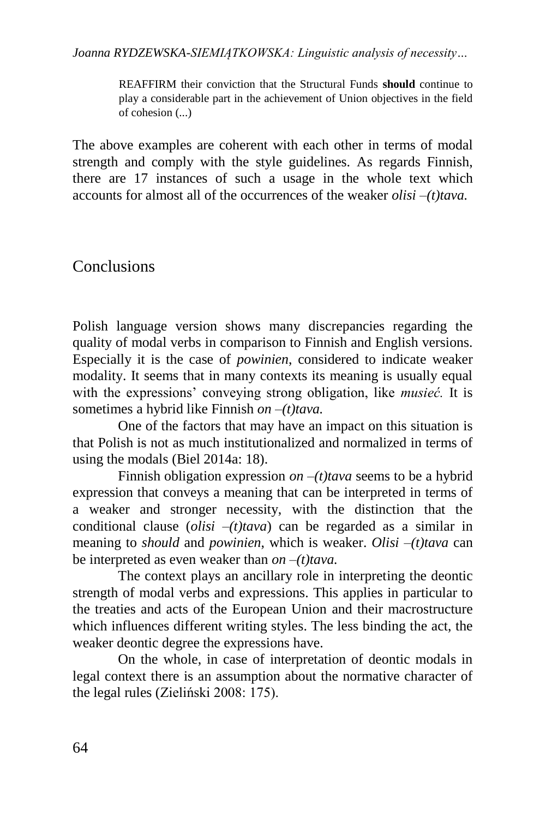REAFFIRM their conviction that the Structural Funds **should** continue to play a considerable part in the achievement of Union objectives in the field of cohesion (...)

The above examples are coherent with each other in terms of modal strength and comply with the style guidelines. As regards Finnish, there are 17 instances of such a usage in the whole text which accounts for almost all of the occurrences of the weaker *olisi –(t)tava.*

## **Conclusions**

Polish language version shows many discrepancies regarding the quality of modal verbs in comparison to Finnish and English versions. Especially it is the case of *powinien*, considered to indicate weaker modality. It seems that in many contexts its meaning is usually equal with the expressions' conveying strong obligation, like *musieć.* It is sometimes a hybrid like Finnish *on –(t)tava.*

One of the factors that may have an impact on this situation is that Polish is not as much institutionalized and normalized in terms of using the modals (Biel 2014a: 18).

Finnish obligation expression *on* –(*t*) *tava* seems to be a hybrid expression that conveys a meaning that can be interpreted in terms of a weaker and stronger necessity, with the distinction that the conditional clause (*olisi –(t)tava*) can be regarded as a similar in meaning to *should* and *powinien*, which is weaker. *Olisi –(t)tava* can be interpreted as even weaker than  $\omega$ *n* –(*t*)*tava*.

The context plays an ancillary role in interpreting the deontic strength of modal verbs and expressions. This applies in particular to the treaties and acts of the European Union and their macrostructure which influences different writing styles. The less binding the act, the weaker deontic degree the expressions have.

On the whole, in case of interpretation of deontic modals in legal context there is an assumption about the normative character of the legal rules (Zieliński 2008: 175).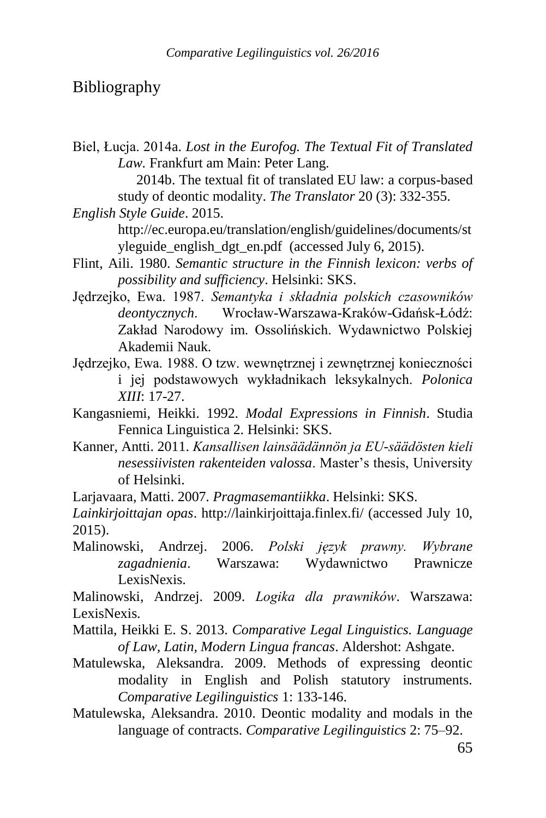### Bibliography

Biel, Łucja. 2014a. *Lost in the Eurofog. The Textual Fit of Translated Law.* Frankfurt am Main: Peter Lang.

> 2014b. The textual fit of translated EU law: a corpus-based study of deontic modality. *The Translator* 20 (3): 332-355.

*English Style Guide*. 2015.

http://ec.europa.eu/translation/english/guidelines/documents/st yleguide english dgt en.pdf (accessed July 6, 2015).

- Flint, Aili. 1980. *Semantic structure in the Finnish lexicon: verbs of possibility and sufficiency*. Helsinki: SKS.
- Jędrzejko, Ewa. 1987. *Semantyka i składnia polskich czasowników deontycznych*. Wrocław-Warszawa-Kraków-Gdańsk-Łódź: Zakład Narodowy im. Ossolińskich. Wydawnictwo Polskiej Akademii Nauk.
- Jędrzejko, Ewa. 1988. O tzw. wewnętrznej i zewnętrznej konieczności i jej podstawowych wykładnikach leksykalnych. *Polonica XIII*: 17-27.
- Kangasniemi, Heikki. 1992. *Modal Expressions in Finnish*. Studia Fennica Linguistica 2. Helsinki: SKS.
- Kanner, Antti. 2011. *Kansallisen lainsäädännön ja EU-säädösten kieli nesessiivisten rakenteiden valossa*. Master's thesis, University of Helsinki.

Larjavaara, Matti. 2007. *Pragmasemantiikka*. Helsinki: SKS.

*Lainkirjoittajan opas*. http://lainkirjoittaja.finlex.fi/ (accessed July 10, 2015).

Malinowski, Andrzej. 2006. *Polski język prawny. Wybrane zagadnienia*. Warszawa: Wydawnictwo Prawnicze LexisNexis.

Malinowski, Andrzej. 2009. *Logika dla prawników*. Warszawa: LexisNexis.

- Mattila, Heikki E. S. 2013. *Comparative Legal Linguistics. Language of Law, Latin, Modern Lingua francas*. Aldershot: Ashgate.
- Matulewska, Aleksandra. 2009. Methods of expressing deontic modality in English and Polish statutory instruments. *Comparative Legilinguistics* 1: 133-146.
- Matulewska, Aleksandra. 2010. Deontic modality and modals in the language of contracts. *Comparative Legilinguistics* 2: 75–92.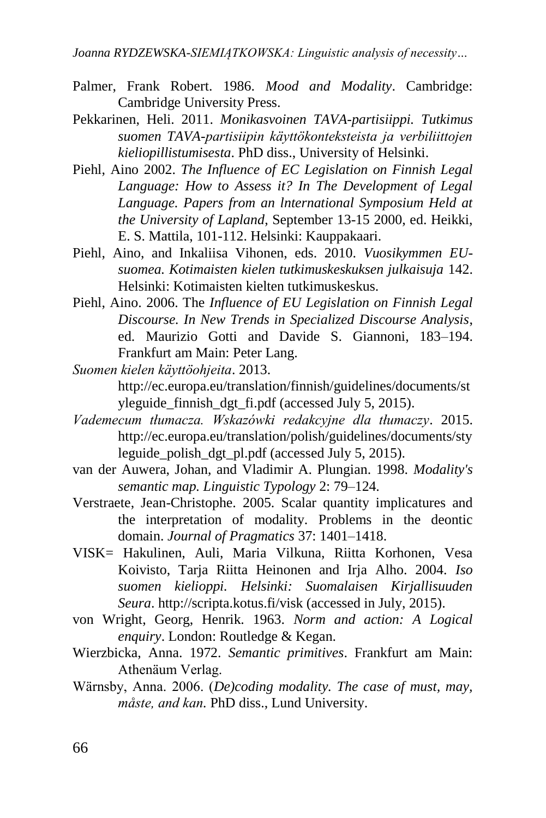- Palmer, Frank Robert. 1986. *Mood and Modality*. Cambridge: Cambridge University Press.
- Pekkarinen, Heli. 2011. *Monikasvoinen TAVA-partisiippi. Tutkimus suomen TAVA-partisiipin käyttökonteksteista ja verbiliittojen kieliopillistumisesta*. PhD diss., University of Helsinki.
- Piehl, Aino 2002. *The Influence of EC Legislation on Finnish Legal Language: How to Assess it? In The Development of Legal Language. Papers from an lnternational Symposium Held at the University of Lapland*, September 13-15 2000, ed. Heikki, E. S. Mattila, 101-112. Helsinki: Kauppakaari.
- Piehl, Aino, and Inkaliisa Vihonen, eds. 2010. *Vuosikymmen EUsuomea. Kotimaisten kielen tutkimuskeskuksen julkaisuja* 142. Helsinki: Kotimaisten kielten tutkimuskeskus.
- Piehl, Aino. 2006. The *Influence of EU Legislation on Finnish Legal Discourse. In New Trends in Specialized Discourse Analysis*, ed. Maurizio Gotti and Davide S. Giannoni, 183–194. Frankfurt am Main: Peter Lang.
- *Suomen kielen käyttöohjeita*. 2013.

http://ec.europa.eu/translation/finnish/guidelines/documents/st yleguide finnish dgt fi.pdf (accessed July 5, 2015).

- *Vademecum tłumacza. Wskazówki redakcyjne dla tłumaczy*. 2015. [http://ec.europa.eu/translation/polish/guidelines/documents/sty](http://ec.europa.eu/translation/polish/guidelines/documents/styleguide_polish_dgt_pl.pdf) leguide polish dgt pl.pdf (accessed July 5, 2015).
- van der Auwera, Johan, and Vladimir A. Plungian. 1998. *Modality's semantic map. Linguistic Typology* 2: 79–124.
- Verstraete, Jean-Christophe. 2005. Scalar quantity implicatures and the interpretation of modality. Problems in the deontic domain. *Journal of Pragmatics* 37: 1401–1418.
- VISK= Hakulinen, Auli, Maria Vilkuna, Riitta Korhonen, Vesa Koivisto, Tarja Riitta Heinonen and Irja Alho. 2004. *Iso suomen kielioppi. Helsinki: Suomalaisen Kirjallisuuden Seura*. http://scripta.kotus.fi/visk (accessed in July, 2015).
- von Wright, Georg, Henrik. 1963. *Norm and action: A Logical enquiry*. London: Routledge & Kegan.
- Wierzbicka, Anna. 1972. *Semantic primitives*. Frankfurt am Main: Athenäum Verlag.
- Wärnsby, Anna. 2006. (*De)coding modality. The case of must, may, måste, and kan.* PhD diss., Lund University.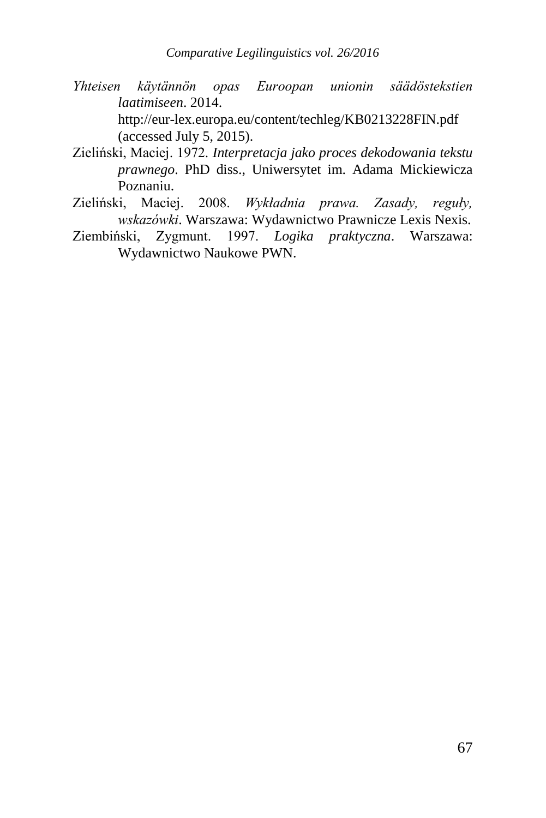- *Yhteisen käytännön opas Euroopan unionin säädöstekstien laatimiseen*. 2014. <http://eur-lex.europa.eu/content/techleg/KB0213228FIN.pdf> (accessed July 5, 2015).
- Zieliński, Maciej. 1972. *Interpretacja jako proces dekodowania tekstu prawnego*. PhD diss., Uniwersytet im. Adama Mickiewicza Poznaniu.
- Zieliński, Maciej. 2008. *Wykładnia prawa. Zasady, reguły, wskazówki*. Warszawa: Wydawnictwo Prawnicze Lexis Nexis.
- Ziembiński, Zygmunt. 1997. *Logika praktyczna*. Warszawa: Wydawnictwo Naukowe PWN.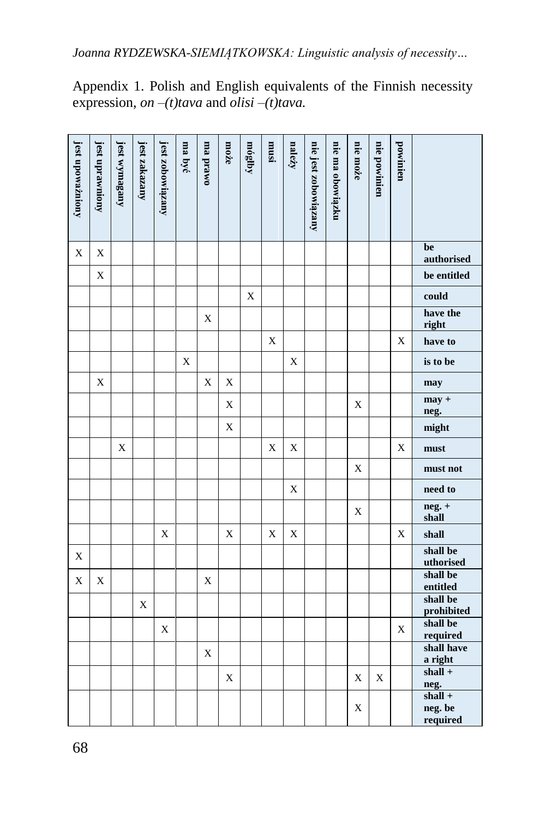| jest upoważniony | jest uprawniony | jest wymagany | jest zakazany | jest zobowiązany | ma być      | owerd am    | może        | móglby      | isnur       | należy      | nie jest zobowiązany | nie ma obowiązku | nie może    | nie powinien | powinien    |                                          |
|------------------|-----------------|---------------|---------------|------------------|-------------|-------------|-------------|-------------|-------------|-------------|----------------------|------------------|-------------|--------------|-------------|------------------------------------------|
| $\mathbf X$      | X               |               |               |                  |             |             |             |             |             |             |                      |                  |             |              |             | be<br>authorised                         |
|                  | $\mathbf X$     |               |               |                  |             |             |             |             |             |             |                      |                  |             |              |             | be entitled                              |
|                  |                 |               |               |                  |             |             |             | $\mathbf X$ |             |             |                      |                  |             |              |             | could                                    |
|                  |                 |               |               |                  |             | X           |             |             |             |             |                      |                  |             |              |             | have the<br>right                        |
|                  |                 |               |               |                  |             |             |             |             | $\mathbf X$ |             |                      |                  |             |              | X           | have to                                  |
|                  |                 |               |               |                  | $\mathbf X$ |             |             |             |             | $\mathbf X$ |                      |                  |             |              |             | is to be                                 |
|                  | $\mathbf X$     |               |               |                  |             | $\mathbf X$ | X           |             |             |             |                      |                  |             |              |             | may                                      |
|                  |                 |               |               |                  |             |             | X           |             |             |             |                      |                  | $\mathbf X$ |              |             | $may +$<br>neg.                          |
|                  |                 |               |               |                  |             |             | X           |             |             |             |                      |                  |             |              |             | might                                    |
|                  |                 | X             |               |                  |             |             |             |             | $\mathbf X$ | X           |                      |                  |             |              | X           | must                                     |
|                  |                 |               |               |                  |             |             |             |             |             |             |                      |                  | X           |              |             | must not                                 |
|                  |                 |               |               |                  |             |             |             |             |             | $\mathbf X$ |                      |                  |             |              |             | need to                                  |
|                  |                 |               |               |                  |             |             |             |             |             |             |                      |                  | $\mathbf X$ |              |             | $neg. +$<br>shall                        |
|                  |                 |               |               | $\mathbf X$      |             |             | X           |             | $\mathbf X$ | $\mathbf X$ |                      |                  |             |              | X           | shall                                    |
| $\mathbf X$      |                 |               |               |                  |             |             |             |             |             |             |                      |                  |             |              |             | shall be<br>uthorised                    |
| $\mathbf X$      | X               |               |               |                  |             | X           |             |             |             |             |                      |                  |             |              |             | shall be<br>entitled                     |
|                  |                 |               | $\mathbf X$   |                  |             |             |             |             |             |             |                      |                  |             |              |             | shall be                                 |
|                  |                 |               |               |                  |             |             |             |             |             |             |                      |                  |             |              |             | prohibited<br>shall be                   |
|                  |                 |               |               | $\mathbf X$      |             |             |             |             |             |             |                      |                  |             |              | $\mathbf X$ | required                                 |
|                  |                 |               |               |                  |             | $\mathbf X$ |             |             |             |             |                      |                  |             |              |             | shall have<br>a right                    |
|                  |                 |               |               |                  |             |             | $\mathbf X$ |             |             |             |                      |                  | X           | $\mathbf X$  |             | $shall +$                                |
|                  |                 |               |               |                  |             |             |             |             |             |             |                      |                  | X           |              |             | neg.<br>$shall +$<br>neg. be<br>required |

Appendix 1. Polish and English equivalents of the Finnish necessity expression, *on –(t)tava* and *olisi –(t)tava.*